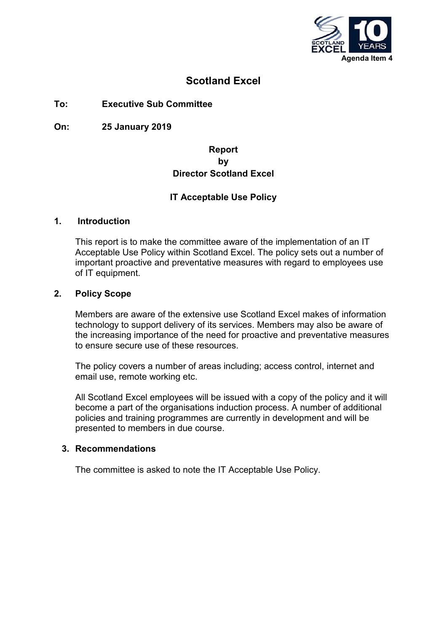

# **Scotland Excel**

### **To: Executive Sub Committee**

**On: 25 January 2019**

### **Report by Director Scotland Excel**

### **IT Acceptable Use Policy**

### **1. Introduction**

This report is to make the committee aware of the implementation of an IT Acceptable Use Policy within Scotland Excel. The policy sets out a number of important proactive and preventative measures with regard to employees use of IT equipment.

### **2. Policy Scope**

Members are aware of the extensive use Scotland Excel makes of information technology to support delivery of its services. Members may also be aware of the increasing importance of the need for proactive and preventative measures to ensure secure use of these resources.

The policy covers a number of areas including; access control, internet and email use, remote working etc.

All Scotland Excel employees will be issued with a copy of the policy and it will become a part of the organisations induction process. A number of additional policies and training programmes are currently in development and will be presented to members in due course.

### **3. Recommendations**

The committee is asked to note the IT Acceptable Use Policy.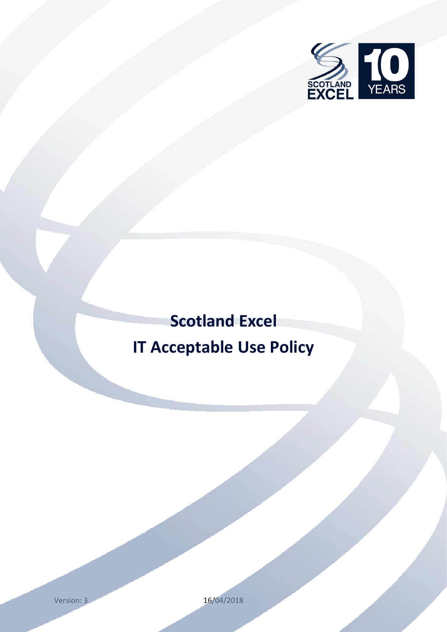

# <span id="page-2-1"></span><span id="page-2-0"></span> **Scotland Excel IT Acceptable Use Policy**

Version: 3 16/04/2018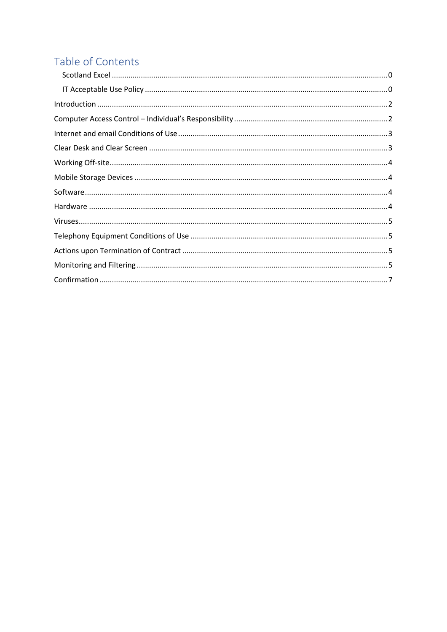# Table of Contents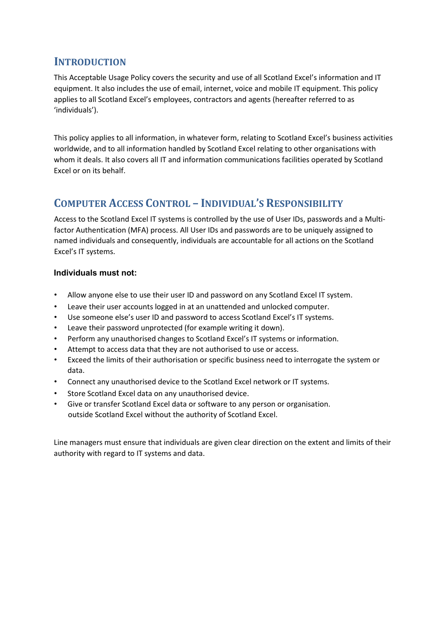# <span id="page-4-0"></span>**INTRODUCTION**

This Acceptable Usage Policy covers the security and use of all Scotland Excel's information and IT equipment. It also includes the use of email, internet, voice and mobile IT equipment. This policy applies to all Scotland Excel's employees, contractors and agents (hereafter referred to as 'individuals').

This policy applies to all information, in whatever form, relating to Scotland Excel's business activities worldwide, and to all information handled by Scotland Excel relating to other organisations with whom it deals. It also covers all IT and information communications facilities operated by Scotland Excel or on its behalf.

# <span id="page-4-1"></span>**COMPUTER ACCESS CONTROL – INDIVIDUAL'S RESPONSIBILITY**

Access to the Scotland Excel IT systems is controlled by the use of User IDs, passwords and a Multifactor Authentication (MFA) process. All User IDs and passwords are to be uniquely assigned to named individuals and consequently, individuals are accountable for all actions on the Scotland Excel's IT systems.

### **Individuals must not:**

- Allow anyone else to use their user ID and password on any Scotland Excel IT system.
- Leave their user accounts logged in at an unattended and unlocked computer.
- Use someone else's user ID and password to access Scotland Excel's IT systems.
- Leave their password unprotected (for example writing it down).
- Perform any unauthorised changes to Scotland Excel's IT systems or information.
- Attempt to access data that they are not authorised to use or access.
- Exceed the limits of their authorisation or specific business need to interrogate the system or data.
- Connect any unauthorised device to the Scotland Excel network or IT systems.
- Store Scotland Excel data on any unauthorised device.
- Give or transfer Scotland Excel data or software to any person or organisation. outside Scotland Excel without the authority of Scotland Excel.

Line managers must ensure that individuals are given clear direction on the extent and limits of their authority with regard to IT systems and data.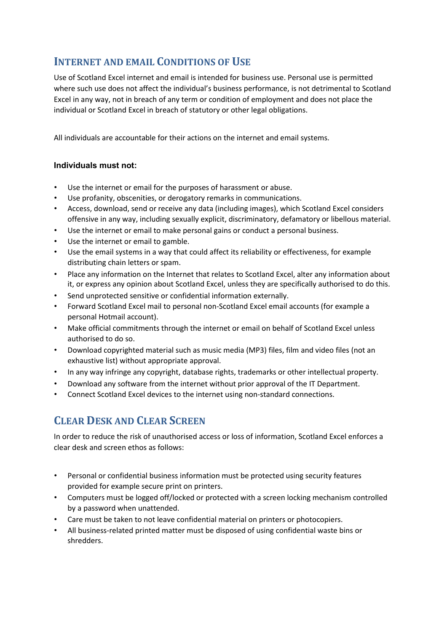# <span id="page-5-0"></span>**INTERNET AND EMAIL CONDITIONS OF USE**

Use of Scotland Excel internet and email is intended for business use. Personal use is permitted where such use does not affect the individual's business performance, is not detrimental to Scotland Excel in any way, not in breach of any term or condition of employment and does not place the individual or Scotland Excel in breach of statutory or other legal obligations.

All individuals are accountable for their actions on the internet and email systems.

### **Individuals must not:**

- Use the internet or email for the purposes of harassment or abuse.
- Use profanity, obscenities, or derogatory remarks in communications.
- Access, download, send or receive any data (including images), which Scotland Excel considers offensive in any way, including sexually explicit, discriminatory, defamatory or libellous material.
- Use the internet or email to make personal gains or conduct a personal business.
- Use the internet or email to gamble.
- Use the email systems in a way that could affect its reliability or effectiveness, for example distributing chain letters or spam.
- Place any information on the Internet that relates to Scotland Excel, alter any information about it, or express any opinion about Scotland Excel, unless they are specifically authorised to do this.
- Send unprotected sensitive or confidential information externally.
- Forward Scotland Excel mail to personal non-Scotland Excel email accounts (for example a personal Hotmail account).
- Make official commitments through the internet or email on behalf of Scotland Excel unless authorised to do so.
- Download copyrighted material such as music media (MP3) files, film and video files (not an exhaustive list) without appropriate approval.
- In any way infringe any copyright, database rights, trademarks or other intellectual property.
- Download any software from the internet without prior approval of the IT Department.
- Connect Scotland Excel devices to the internet using non-standard connections.

# <span id="page-5-1"></span>**CLEAR DESK AND CLEAR SCREEN**

In order to reduce the risk of unauthorised access or loss of information, Scotland Excel enforces a clear desk and screen ethos as follows:

- Personal or confidential business information must be protected using security features provided for example secure print on printers.
- Computers must be logged off/locked or protected with a screen locking mechanism controlled by a password when unattended.
- Care must be taken to not leave confidential material on printers or photocopiers.
- All business-related printed matter must be disposed of using confidential waste bins or shredders.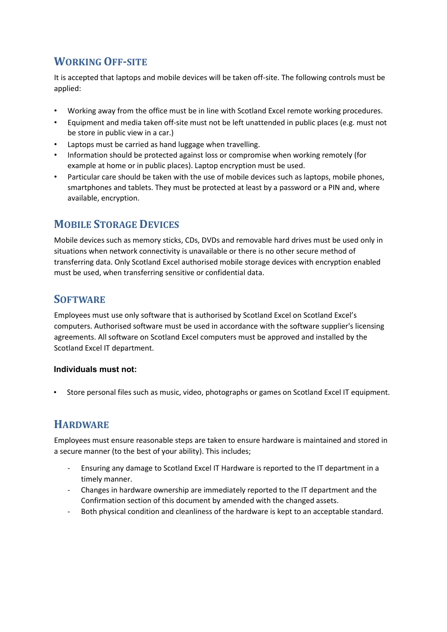# <span id="page-6-0"></span>**WORKING OFF-SITE**

It is accepted that laptops and mobile devices will be taken off-site. The following controls must be applied:

- Working away from the office must be in line with Scotland Excel remote working procedures.
- Equipment and media taken off-site must not be left unattended in public places (e.g. must not be store in public view in a car.)
- Laptops must be carried as hand luggage when travelling.
- Information should be protected against loss or compromise when working remotely (for example at home or in public places). Laptop encryption must be used.
- Particular care should be taken with the use of mobile devices such as laptops, mobile phones, smartphones and tablets. They must be protected at least by a password or a PIN and, where available, encryption.

# <span id="page-6-1"></span>**MOBILE STORAGE DEVICES**

Mobile devices such as memory sticks, CDs, DVDs and removable hard drives must be used only in situations when network connectivity is unavailable or there is no other secure method of transferring data. Only Scotland Excel authorised mobile storage devices with encryption enabled must be used, when transferring sensitive or confidential data.

## <span id="page-6-2"></span>**SOFTWARE**

Employees must use only software that is authorised by Scotland Excel on Scotland Excel's computers. Authorised software must be used in accordance with the software supplier's licensing agreements. All software on Scotland Excel computers must be approved and installed by the Scotland Excel IT department.

#### **Individuals must not:**

• Store personal files such as music, video, photographs or games on Scotland Excel IT equipment.

# <span id="page-6-3"></span>**HARDWARE**

Employees must ensure reasonable steps are taken to ensure hardware is maintained and stored in a secure manner (to the best of your ability). This includes;

- Ensuring any damage to Scotland Excel IT Hardware is reported to the IT department in a timely manner.
- Changes in hardware ownership are immediately reported to the IT department and the Confirmation section of this document by amended with the changed assets.
- Both physical condition and cleanliness of the hardware is kept to an acceptable standard.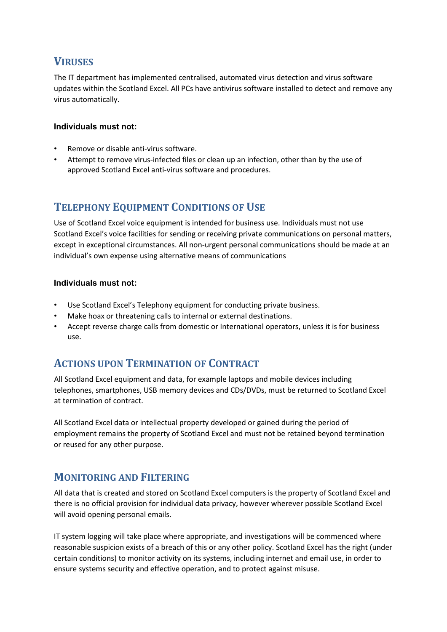# <span id="page-7-0"></span>**VIRUSES**

The IT department has implemented centralised, automated virus detection and virus software updates within the Scotland Excel. All PCs have antivirus software installed to detect and remove any virus automatically.

### **Individuals must not:**

- Remove or disable anti-virus software.
- Attempt to remove virus-infected files or clean up an infection, other than by the use of approved Scotland Excel anti-virus software and procedures.

# <span id="page-7-1"></span>**TELEPHONY EQUIPMENT CONDITIONS OF USE**

Use of Scotland Excel voice equipment is intended for business use. Individuals must not use Scotland Excel's voice facilities for sending or receiving private communications on personal matters, except in exceptional circumstances. All non-urgent personal communications should be made at an individual's own expense using alternative means of communications

#### **Individuals must not:**

- Use Scotland Excel's Telephony equipment for conducting private business.
- Make hoax or threatening calls to internal or external destinations.
- Accept reverse charge calls from domestic or International operators, unless it is for business use.

# <span id="page-7-2"></span>**ACTIONS UPON TERMINATION OF CONTRACT**

All Scotland Excel equipment and data, for example laptops and mobile devices including telephones, smartphones, USB memory devices and CDs/DVDs, must be returned to Scotland Excel at termination of contract.

All Scotland Excel data or intellectual property developed or gained during the period of employment remains the property of Scotland Excel and must not be retained beyond termination or reused for any other purpose.

# <span id="page-7-3"></span>**MONITORING AND FILTERING**

All data that is created and stored on Scotland Excel computers is the property of Scotland Excel and there is no official provision for individual data privacy, however wherever possible Scotland Excel will avoid opening personal emails.

IT system logging will take place where appropriate, and investigations will be commenced where reasonable suspicion exists of a breach of this or any other policy. Scotland Excel has the right (under certain conditions) to monitor activity on its systems, including internet and email use, in order to ensure systems security and effective operation, and to protect against misuse.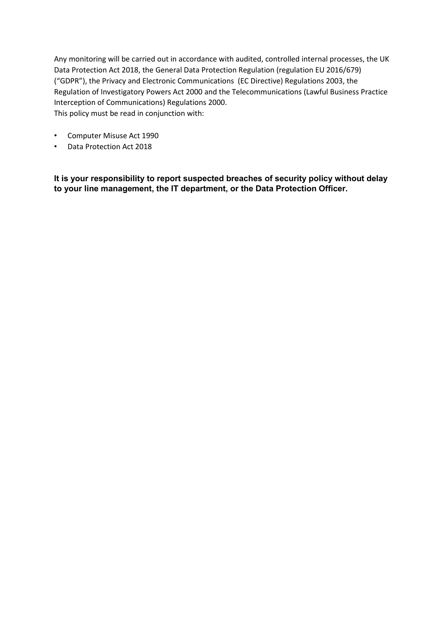Any monitoring will be carried out in accordance with audited, controlled internal processes, the UK Data Protection Act 2018, the General Data Protection Regulation (regulation EU 2016/679) ("GDPR"), the Privacy and Electronic Communications (EC Directive) Regulations 2003, the Regulation of Investigatory Powers Act 2000 and the Telecommunications (Lawful Business Practice Interception of Communications) Regulations 2000. This policy must be read in conjunction with:

- Computer Misuse Act 1990
- Data Protection Act 2018

**It is your responsibility to report suspected breaches of security policy without delay to your line management, the IT department, or the Data Protection Officer.**